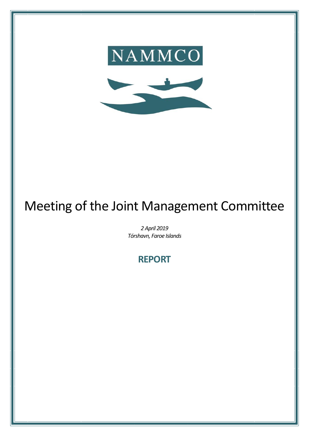



# Meeting of the Joint Management Committee

*2 April 2019 Tórshavn, Faroe Islands*

**REPORT**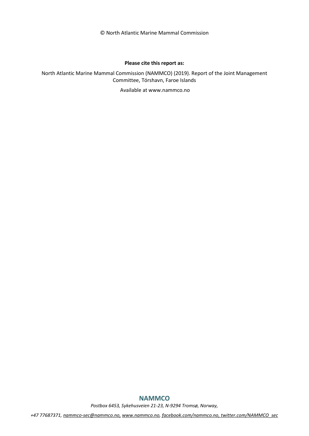© North Atlantic Marine Mammal Commission

#### **Please cite this report as:**

North Atlantic Marine Mammal Commission (NAMMCO) (2019). Report of the Joint Management Committee, Tórshavn, Faroe Islands

Available at www.nammco.no

# **NAMMCO**

*Postbox 6453, Sykehusveien 21-23, N-9294 Tromsø, Norway,* 

*+47 77687371, [nammco-sec@nammco.no,](mailto:nammco-sec@nammco.no) [www.nammco.no,](http://www.nammco.no/) [facebook.com/nammco.no,](http://www.facebook.com/nammco.no) [twitter.com/NAMMCO\\_sec](https://twitter.com/NAMMCO_sec)*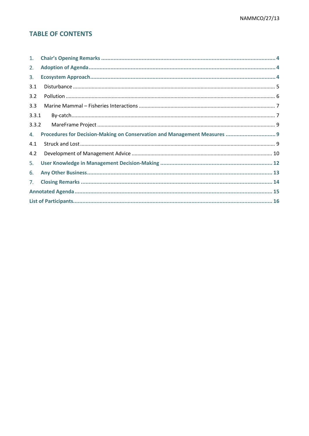# **TABLE OF CONTENTS**

| 1.    |                                                                           |
|-------|---------------------------------------------------------------------------|
| 2.    |                                                                           |
| 3.    |                                                                           |
| 3.1   |                                                                           |
| 3.2   |                                                                           |
| 3.3   |                                                                           |
| 3.3.1 |                                                                           |
| 3.3.2 |                                                                           |
| 4.    | Procedures for Decision-Making on Conservation and Management Measures  9 |
|       |                                                                           |
| 4.1   |                                                                           |
| 4.2   |                                                                           |
| 5.    |                                                                           |
| 6.    |                                                                           |
| 7.    |                                                                           |
|       |                                                                           |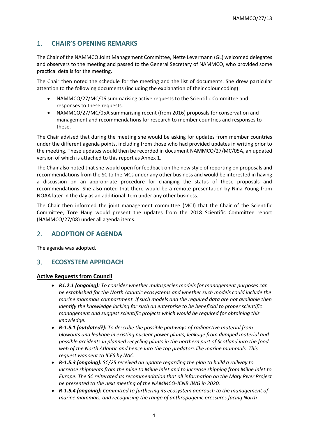# <span id="page-3-0"></span>1. **CHAIR'S OPENING REMARKS**

The Chair of the NAMMCO Joint Management Committee, Nette Levermann (GL) welcomed delegates and observers to the meeting and passed to the General Secretary of NAMMCO, who provided some practical details for the meeting.

The Chair then noted the schedule for the meeting and the list of documents. She drew particular attention to the following documents (including the explanation of their colour coding):

- NAMMCO/27/MC/06 summarising active requests to the Scientific Committee and responses to these requests.
- NAMMCO/27/MC/05A summarising recent (from 2016) proposals for conservation and management and recommendations for research to member countries and responses to these.

The Chair advised that during the meeting she would be asking for updates from member countries under the different agenda points, including from those who had provided updates in writing prior to the meeting. These updates would then be recorded in document NAMMCO/27/MC/05A, an updated version of which is attached to this report as Annex 1.

The Chair also noted that she would open for feedback on the new style of reporting on proposals and recommendations from the SC to the MCs under any other business and would be interested in having a discussion on an appropriate procedure for changing the status of these proposals and recommendations. She also noted that there would be a remote presentation by Nina Young from NOAA later in the day as an additional item under any other business.

The Chair then informed the joint management committee (MCJ) that the Chair of the Scientific Committee, Tore Haug would present the updates from the 2018 Scientific Committee report (NAMMCO/27/08) under all agenda items.

# <span id="page-3-1"></span>2. **ADOPTION OF AGENDA**

The agenda was adopted.

# <span id="page-3-2"></span>3. **ECOSYSTEM APPROACH**

#### **Active Requests from Council**

- *R1.2.1 (ongoing): To consider whether multispecies models for management purposes can be established for the North Atlantic ecosystems and whether such models could include the marine mammals compartment. If such models and the required data are not available then identify the knowledge lacking for such an enterprise to be beneficial to proper scientific management and suggest scientific projects which would be required for obtaining this knowledge.*
- *R-1.5.1 (outdated?): To describe the possible pathways of radioactive material from blowouts and leakage in existing nuclear power plants, leakage from dumped material and possible accidents in planned recycling plants in the northern part of Scotland into the food web of the North Atlantic and hence into the top predators like marine mammals. This request was sent to ICES by NAC.*
- *R-1.5.3 (ongoing): SC/25 received an update regarding the plan to build a railway to increase shipments from the mine to Milne Inlet and to increase shipping from Milne Inlet to Europe. The SC reiterated its recommendation that all information on the Mary River Project be presented to the next meeting of the NAMMCO-JCNB JWG in 2020.*
- *R-1.5.4 (ongoing): Committed to furthering its ecosystem approach to the management of marine mammals, and recognising the range of anthropogenic pressures facing North*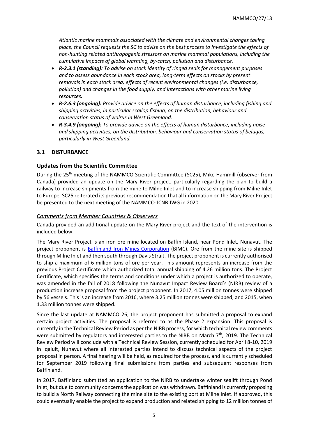*Atlantic marine mammals associated with the climate and environmental changes taking place, the Council requests the SC to advise on the best process to investigate the effects of non-hunting related anthropogenic stressors on marine mammal populations, including the cumulative impacts of global warming, by-catch, pollution and disturbance.*

- *R-2.3.1 (standing): To advise on stock identity of ringed seals for management purposes and to assess abundance in each stock area, long-term effects on stocks by present removals in each stock area, effects of recent environmental changes (i.e. disturbance, pollution) and changes in the food supply, and interactions with other marine living resources.*
- *R-2.6.3 (ongoing): Provide advice on the effects of human disturbance, including fishing and shipping activities, in particular scallop fishing, on the distribution, behaviour and conservation status of walrus in West Greenland.*
- *R-3.4.9 (ongoing): To provide advice on the effects of human disturbance, including noise and shipping activities, on the distribution, behaviour and conservation status of belugas, particularly in West Greenland.*

## <span id="page-4-0"></span>**3.1 DISTURBANCE**

#### **Updates from the Scientific Committee**

During the 25<sup>th</sup> meeting of the NAMMCO Scientific Committee (SC25), Mike Hammill (observer from Canada) provided an update on the Mary River project, particularly regarding the plan to build a railway to increase shipments from the mine to Milne Inlet and to increase shipping from Milne Inlet to Europe. SC25 reiterated its previous recommendation that all information on the Mary River Project be presented to the next meeting of the NAMMCO-JCNB JWG in 2020.

#### *Comments from Member Countries & Observers*

Canada provided an additional update on the Mary River project and the text of the intervention is included below.

The Mary River Project is an iron ore mine located on Baffin Island, near Pond Inlet, Nunavut. The project proponent is [Baffinland Iron Mines Corporation](http://www.baffinland.com/) (BIMC). Ore from the mine site is shipped through Milne Inlet and then south through Davis Strait. The project proponent is currently authorised to ship a maximum of 6 million tons of ore per year. This amount represents an increase from the previous Project Certificate which authorized total annual shipping of 4.26 million tons. The Project Certificate, which specifies the terms and conditions under which a project is authorized to operate, was amended in the fall of 2018 following the Nunavut Impact Review Board's (NIRB) review of a production increase proposal from the project proponent. In 2017, 4.05 million tonnes were shipped by 56 vessels. This is an increase from 2016, where 3.25 million tonnes were shipped, and 2015, when 1.33 million tonnes were shipped.

Since the last update at NAMMCO 26, the project proponent has submitted a proposal to expand certain project activities. The proposal is referred to as the Phase 2 expansion. This proposal is currently in the Technical Review Period as per the NIRB process, for which technical review comments were submitted by regulators and interested parties to the NIRB on March 7<sup>th</sup>, 2019. The Technical Review Period will conclude with a Technical Review Session, currently scheduled for April 8-10, 2019 in Iqaluit, Nunavut where all interested parties intend to discuss technical aspects of the project proposal in person. A final hearing will be held, as required for the process, and is currently scheduled for September 2019 following final submissions from parties and subsequent responses from Baffinland.

In 2017, Baffinland submitted an application to the NIRB to undertake winter sealift through Pond Inlet, but due to community concerns the application was withdrawn. Baffinland is currently proposing to build a North Railway connecting the mine site to the existing port at Milne Inlet. If approved, this could eventually enable the project to expand production and related shipping to 12 million tonnes of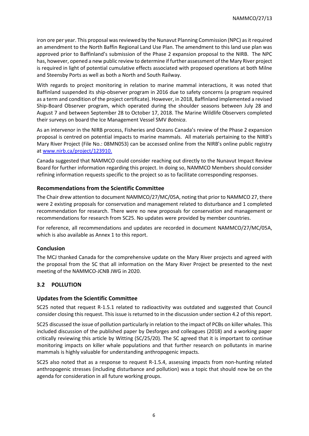iron ore per year. This proposal was reviewed by the Nunavut Planning Commission (NPC) as it required an amendment to the North Baffin Regional Land Use Plan. The amendment to this land use plan was approved prior to Baffinland's submission of the Phase 2 expansion proposal to the NIRB. The NPC has, however, opened a new public review to determine if further assessment of the Mary River project is required in light of potential cumulative effects associated with proposed operations at both Milne and Steensby Ports as well as both a North and South Railway.

With regards to project monitoring in relation to marine mammal interactions, it was noted that Baffinland suspended its ship-observer program in 2016 due to safety concerns (a program required as a term and condition of the project certificate). However, in 2018, Baffinland implemented a revised Ship-Board Observer program, which operated during the shoulder seasons between July 28 and August 7 and between September 28 to October 17, 2018. The Marine Wildlife Observers completed their surveys on board the Ice Management Vessel SMV *Botnica*.

As an intervenor in the NIRB process, Fisheries and Oceans Canada's review of the Phase 2 expansion proposal is centred on potential impacts to marine mammals. All materials pertaining to the NIRB's Mary River Project (File No.: 08MN053) can be accessed online from the NIRB's online public registry at [www.nirb.ca/project/123910.](http://www.nirb.ca/project/123910)

Canada suggested that NAMMCO could consider reaching out directly to the Nunavut Impact Review Board for further information regarding this project. In doing so, NAMMCO Members should consider refining information requests specific to the project so as to facilitate corresponding responses.

## **Recommendations from the Scientific Committee**

The Chair drew attention to document NAMMCO/27/MC/05A, noting that prior to NAMMCO 27, there were 2 existing proposals for conservation and management related to disturbance and 1 completed recommendation for research. There were no new proposals for conservation and management or recommendations for research from SC25. No updates were provided by member countries.

For reference, all recommendations and updates are recorded in document NAMMCO/27/MC/05A, which is also available as Annex 1 to this report.

## **Conclusion**

The MCJ thanked Canada for the comprehensive update on the Mary River projects and agreed with the proposal from the SC that all information on the Mary River Project be presented to the next meeting of the NAMMCO-JCNB JWG in 2020.

# <span id="page-5-0"></span>**3.2 POLLUTION**

## **Updates from the Scientific Committee**

SC25 noted that request R-1.5.1 related to radioactivity was outdated and suggested that Council consider closing this request. This issue is returned to in the discussion under section 4.2 of this report.

SC25 discussed the issue of pollution particularly in relation to the impact of PCBs on killer whales. This included discussion of the published paper by Desforges and colleagues (2018) and a working paper critically reviewing this article by Witting (SC/25/20). The SC agreed that it is important to continue monitoring impacts on killer whale populations and that further research on pollutants in marine mammals is highly valuable for understanding anthropogenic impacts.

SC25 also noted that as a response to request R-1.5.4, assessing impacts from non-hunting related anthropogenic stresses (including disturbance and pollution) was a topic that should now be on the agenda for consideration in all future working groups.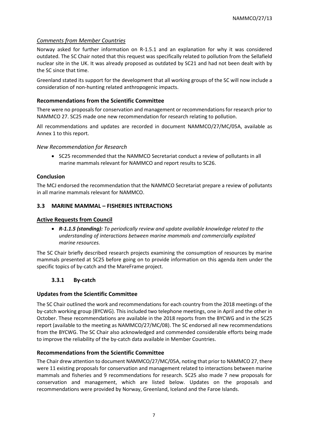# *Comments from Member Countries*

Norway asked for further information on R-1.5.1 and an explanation for why it was considered outdated. The SC Chair noted that this request was specifically related to pollution from the Sellafield nuclear site in the UK. It was already proposed as outdated by SC21 and had not been dealt with by the SC since that time.

Greenland stated its support for the development that all working groups of the SC will now include a consideration of non-hunting related anthropogenic impacts.

## **Recommendations from the Scientific Committee**

There were no proposals for conservation and management or recommendations for research prior to NAMMCO 27. SC25 made one new recommendation for research relating to pollution.

All recommendations and updates are recorded in document NAMMCO/27/MC/05A, available as Annex 1 to this report.

## *New Recommendation for Research*

• SC25 recommended that the NAMMCO Secretariat conduct a review of pollutants in all marine mammals relevant for NAMMCO and report results to SC26.

# **Conclusion**

The MCJ endorsed the recommendation that the NAMMCO Secretariat prepare a review of pollutants in all marine mammals relevant for NAMMCO.

# <span id="page-6-0"></span>**3.3 MARINE MAMMAL – FISHERIES INTERACTIONS**

## **Active Requests from Council**

• *R-1.1.5 (standing): To periodically review and update available knowledge related to the understanding of interactions between marine mammals and commercially exploited marine resources.*

The SC Chair briefly described research projects examining the consumption of resources by marine mammals presented at SC25 before going on to provide information on this agenda item under the specific topics of by-catch and the MareFrame project.

## <span id="page-6-1"></span>**3.3.1 By-catch**

## **Updates from the Scientific Committee**

The SC Chair outlined the work and recommendations for each country from the 2018 meetings of the by-catch working group (BYCWG). This included two telephone meetings, one in April and the other in October. These recommendations are available in the 2018 reports from the BYCWG and in the SC25 report (available to the meeting as NAMMCO/27/MC/08). The SC endorsed all new recommendations from the BYCWG. The SC Chair also acknowledged and commended considerable efforts being made to improve the reliability of the by-catch data available in Member Countries.

## **Recommendations from the Scientific Committee**

The Chair drew attention to document NAMMCO/27/MC/05A, noting that prior to NAMMCO 27, there were 11 existing proposals for conservation and management related to interactions between marine mammals and fisheries and 9 recommendations for research. SC25 also made 7 new proposals for conservation and management, which are listed below. Updates on the proposals and recommendations were provided by Norway, Greenland, Iceland and the Faroe Islands.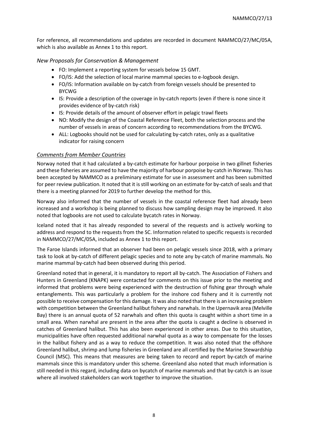For reference, all recommendations and updates are recorded in document NAMMCO/27/MC/05A, which is also available as Annex 1 to this report.

#### *New Proposals for Conservation & Management*

- FO: Implement a reporting system for vessels below 15 GMT.
- FO/IS: Add the selection of local marine mammal species to e-logbook design.
- FO/IS: Information available on by-catch from foreign vessels should be presented to BYCWG
- IS: Provide a description of the coverage in by-catch reports (even if there is none since it provides evidence of by-catch risk)
- IS: Provide details of the amount of observer effort in pelagic trawl fleets
- NO: Modify the design of the Coastal Reference Fleet, both the selection process and the number of vessels in areas of concern according to recommendations from the BYCWG.
- ALL: Logbooks should not be used for calculating by-catch rates, only as a qualitative indicator for raising concern

#### *Comments from Member Countries*

Norway noted that it had calculated a by-catch estimate for harbour porpoise in two gillnet fisheries and these fisheries are assumed to have the majority of harbour porpoise by-catch in Norway. This has been accepted by NAMMCO as a preliminary estimate for use in assessment and has been submitted for peer review publication. It noted that it is still working on an estimate for by-catch of seals and that there is a meeting planned for 2019 to further develop the method for this.

Norway also informed that the number of vessels in the coastal reference fleet had already been increased and a workshop is being planned to discuss how sampling design may be improved. It also noted that logbooks are not used to calculate bycatch rates in Norway.

Iceland noted that it has already responded to several of the requests and is actively working to address and respond to the requests from the SC. Information related to specific requests is recorded in NAMMCO/27/MC/05A, included as Annex 1 to this report.

The Faroe Islands informed that an observer had been on pelagic vessels since 2018, with a primary task to look at by-catch of different pelagic species and to note any by-catch of marine mammals. No marine mammal by-catch had been observed during this period.

Greenland noted that in general, it is mandatory to report all by-catch. The Association of Fishers and Hunters in Greenland (KNAPK) were contacted for comments on this issue prior to the meeting and informed that problems were being experienced with the destruction of fishing gear through whale entanglements. This was particularly a problem for the inshore cod fishery and it is currently not possible to receive compensation for this damage. It was also noted that there is an increasing problem with competition between the Greenland halibut fishery and narwhals. In the Upernavik area (Melville Bay) there is an annual quota of 52 narwhals and often this quota is caught within a short time in a small area. When narwhal are present in the area after the quota is caught a decline is observed in catches of Greenland halibut. This has also been experienced in other areas. Due to this situation, municipalities have often requested additional narwhal quota as a way to compensate for the losses in the halibut fishery and as a way to reduce the competition. It was also noted that the offshore Greenland halibut, shrimp and lump fisheries in Greenland are all certified by the Marine Stewardship Council (MSC). This means that measures are being taken to record and report by-catch of marine mammals since this is mandatory under this scheme. Greenland also noted that much information is still needed in this regard, including data on bycatch of marine mammals and that by-catch is an issue where all involved stakeholders can work together to improve the situation.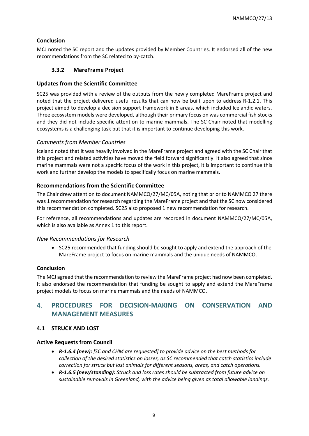# **Conclusion**

MCJ noted the SC report and the updates provided by Member Countries. It endorsed all of the new recommendations from the SC related to by-catch.

## <span id="page-8-0"></span>**3.3.2 MareFrame Project**

## **Updates from the Scientific Committee**

SC25 was provided with a review of the outputs from the newly completed MareFrame project and noted that the project delivered useful results that can now be built upon to address R-1.2.1. This project aimed to develop a decision support framework in 8 areas, which included Icelandic waters. Three ecosystem models were developed, although their primary focus on was commercial fish stocks and they did not include specific attention to marine mammals. The SC Chair noted that modelling ecosystems is a challenging task but that it is important to continue developing this work.

#### *Comments from Member Countries*

Iceland noted that it was heavily involved in the MareFrame project and agreed with the SC Chair that this project and related activities have moved the field forward significantly. It also agreed that since marine mammals were not a specific focus of the work in this project, it is important to continue this work and further develop the models to specifically focus on marine mammals.

## **Recommendations from the Scientific Committee**

The Chair drew attention to document NAMMCO/27/MC/05A, noting that prior to NAMMCO 27 there was 1 recommendation for research regarding the MareFrame project and that the SC now considered this recommendation completed. SC25 also proposed 1 new recommendation for research.

For reference, all recommendations and updates are recorded in document NAMMCO/27/MC/05A, which is also available as Annex 1 to this report.

## *New Recommendations for Research*

• SC25 recommended that funding should be sought to apply and extend the approach of the MareFrame project to focus on marine mammals and the unique needs of NAMMCO.

## **Conclusion**

The MCJ agreed that the recommendation to review the MareFrame project had now been completed. It also endorsed the recommendation that funding be sought to apply and extend the MareFrame project models to focus on marine mammals and the needs of NAMMCO.

# <span id="page-8-1"></span>4. **PROCEDURES FOR DECISION-MAKING ON CONSERVATION AND MANAGEMENT MEASURES**

## <span id="page-8-2"></span>**4.1 STRUCK AND LOST**

## **Active Requests from Council**

- *R-1.6.4 (new): [SC and CHM are requested] to provide advice on the best methods for collection of the desired statistics on losses, as SC recommended that catch statistics include correction for struck but lost animals for different seasons, areas, and catch operations.*
- *R-1.6.5 (new/standing): Struck and loss rates should be subtracted from future advice on sustainable removals in Greenland, with the advice being given as total allowable landings.*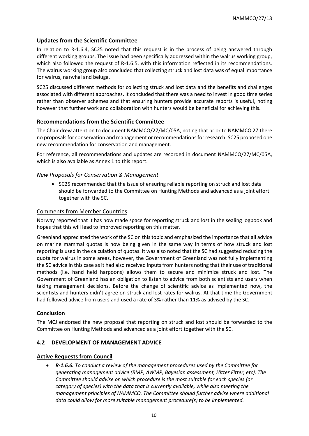# **Updates from the Scientific Committee**

In relation to R-1.6.4, SC25 noted that this request is in the process of being answered through different working groups. The issue had been specifically addressed within the walrus working group, which also followed the request of R-1.6.5, with this information reflected in its recommendations. The walrus working group also concluded that collecting struck and lost data was of equal importance for walrus, narwhal and beluga.

SC25 discussed different methods for collecting struck and lost data and the benefits and challenges associated with different approaches. It concluded that there was a need to invest in good time series rather than observer schemes and that ensuring hunters provide accurate reports is useful, noting however that further work and collaboration with hunters would be beneficial for achieving this.

## **Recommendations from the Scientific Committee**

The Chair drew attention to document NAMMCO/27/MC/05A, noting that prior to NAMMCO 27 there no proposals for conservation and management or recommendations for research. SC25 proposed one new recommendation for conservation and management.

For reference, all recommendations and updates are recorded in document NAMMCO/27/MC/05A, which is also available as Annex 1 to this report.

## *New Proposals for Conservation & Management*

• SC25 recommended that the issue of ensuring reliable reporting on struck and lost data should be forwarded to the Committee on Hunting Methods and advanced as a joint effort together with the SC.

#### Comments from Member Countries

Norway reported that it has now made space for reporting struck and lost in the sealing logbook and hopes that this will lead to improved reporting on this matter.

Greenland appreciated the work of the SC on this topic and emphasized the importance that all advice on marine mammal quotas is now being given in the same way in terms of how struck and lost reporting is used in the calculation of quotas. It was also noted that the SC had suggested reducing the quota for walrus in some areas, however, the Government of Greenland was not fully implementing the SC advice in this case as it had also received inputs from hunters noting that their use of traditional methods (i.e. hand held harpoons) allows them to secure and minimize struck and lost. The Government of Greenland has an obligation to listen to advice from both scientists and users when taking management decisions. Before the change of scientific advice as implemented now, the scientists and hunters didn't agree on struck and lost rates for walrus. At that time the Government had followed advice from users and used a rate of 3% rather than 11% as advised by the SC.

## **Conclusion**

The MCJ endorsed the new proposal that reporting on struck and lost should be forwarded to the Committee on Hunting Methods and advanced as a joint effort together with the SC.

#### <span id="page-9-0"></span>**4.2 DEVELOPMENT OF MANAGEMENT ADVICE**

#### **Active Requests from Council**

• *R-1.6.6. To conduct a review of the management procedures used by the Committee for generating management advice (RMP, AWMP, Bayesian assessment, Hitter Fitter, etc). The Committee should advise on which procedure is the most suitable for each species (or category of species) with the data that is currently available, while also meeting the management principles of NAMMCO. The Committee should further advise where additional data could allow for more suitable management procedure(s) to be implemented.*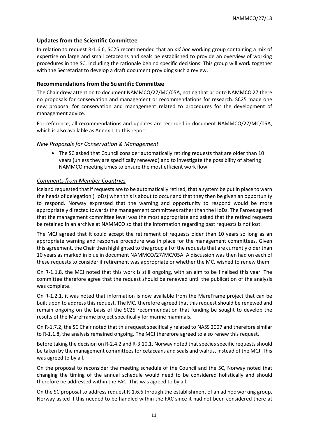#### **Updates from the Scientific Committee**

In relation to request R-1.6.6, SC25 recommended that an *ad hoc* working group containing a mix of expertise on large and small cetaceans and seals be established to provide an overview of working procedures in the SC, including the rationale behind specific decisions. This group will work together with the Secretariat to develop a draft document providing such a review.

#### **Recommendations from the Scientific Committee**

The Chair drew attention to document NAMMCO/27/MC/05A, noting that prior to NAMMCO 27 there no proposals for conservation and management or recommendations for research. SC25 made one new proposal for conservation and management related to procedures for the development of management advice.

For reference, all recommendations and updates are recorded in document NAMMCO/27/MC/05A, which is also available as Annex 1 to this report.

#### *New Proposals for Conservation & Management*

• The SC asked that Council consider automatically retiring requests that are older than 10 years (unless they are specifically renewed) and to investigate the possibility of altering NAMMCO meeting times to ensure the most efficient work flow.

#### *Comments from Member Countries*

Iceland requested that if requests are to be automatically retired, that a system be put in place to warn the heads of delegation (HoDs) when this is about to occur and that they then be given an opportunity to respond. Norway expressed that the warning and opportunity to respond would be more appropriately directed towards the management committees rather than the HoDs. The Faroes agreed that the management committee level was the most appropriate and asked that the retired requests be retained in an archive at NAMMCO so that the information regarding past requests is not lost.

The MCJ agreed that it could accept the retirement of requests older than 10 years so long as an appropriate warning and response procedure was in place for the management committees. Given this agreement, the Chair then highlighted to the group all of the requests that are currently older than 10 years as marked in blue in document NAMMCO/27/MC/05A. A discussion was then had on each of these requests to consider if retirement was appropriate or whether the MCJ wished to renew them.

On R-1.1.8, the MCJ noted that this work is still ongoing, with an aim to be finalised this year. The committee therefore agree that the request should be renewed until the publication of the analysis was complete.

On R-1.2.1, it was noted that information is now available from the MareFrame project that can be built upon to address this request. The MCJ therefore agreed that this request should be renewed and remain ongoing on the basis of the SC25 recommendation that funding be sought to develop the results of the MareFrame project specifically for marine mammals.

On R-1.7.2, the SC Chair noted that this request specifically related to NASS 2007 and therefore similar to R-1.1.8, the analysis remained ongoing. The MCJ therefore agreed to also renew this request.

Before taking the decision on R-2.4.2 and R-3.10.1, Norway noted that species specific requests should be taken by the management committees for cetaceans and seals and walrus, instead of the MCJ. This was agreed to by all.

On the proposal to reconsider the meeting schedule of the Council and the SC, Norway noted that changing the timing of the annual schedule would need to be considered holistically and should therefore be addressed within the FAC. This was agreed to by all.

On the SC proposal to address request R-1.6.6 through the establishment of an ad hoc working group, Norway asked if this needed to be handled within the FAC since it had not been considered there at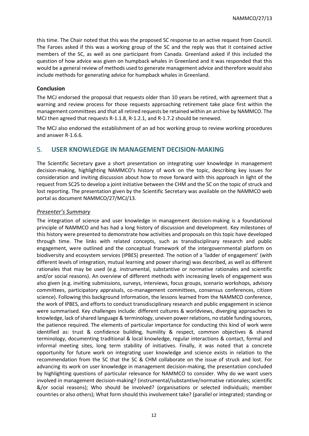this time. The Chair noted that this was the proposed SC response to an active request from Council. The Faroes asked if this was a working group of the SC and the reply was that it contained active members of the SC, as well as one participant from Canada. Greenland asked if this included the question of how advice was given on humpback whales in Greenland and it was responded that this would be a general review of methods used to generate management advice and therefore would also include methods for generating advice for humpback whales in Greenland.

#### **Conclusion**

The MCJ endorsed the proposal that requests older than 10 years be retired, with agreement that a warning and review process for those requests approaching retirement take place first within the management committees and that all retired requests be retained within an archive by NAMMCO. The MCJ then agreed that requests R-1.1.8, R-1.2.1, and R-1.7.2 should be renewed.

The MCJ also endorsed the establishment of an ad hoc working group to review working procedures and answer R-1.6.6.

# <span id="page-11-0"></span>5. **USER KNOWLEDGE IN MANAGEMENT DECISION-MAKING**

The Scientific Secretary gave a short presentation on integrating user knowledge in management decision-making, highlighting NAMMCO's history of work on the topic, describing key issues for consideration and inviting discussion about how to move forward with this approach in light of the request from SC25 to develop a joint initiative between the CHM and the SC on the topic of struck and lost reporting. The presentation given by the Scientific Secretary was available on the NAMMCO web portal as document NAMMCO/27/MCJ/13.

#### *Presenter's Summary*

The integration of science and user knowledge in management decision-making is a foundational principle of NAMMCO and has had a long history of discussion and development. Key milestones of this history were presented to demonstrate how activities and proposals on this topic have developed through time. The links with related concepts, such as transdisciplinary research and public engagement, were outlined and the conceptual framework of the intergovernmental platform on biodiversity and ecosystem services (IPBES) presented. The notion of a 'ladder of engagement' (with different levels of integration, mutual learning and power sharing) was described, as well as different rationales that may be used (e.g. instrumental, substantive or normative rationales and scientific and/or social reasons). An overview of different methods with increasing levels of engagement was also given (e.g. inviting submissions, surveys, interviews, focus groups, scenario workshops, advisory committees, participatory appraisals, co-management committees, consensus conferences, citizen science). Following this background information, the lessons learned from the NAMMCO conference, the work of IPBES, and efforts to conduct transdisciplinary research and public engagement in science were summarised. Key challenges include: different cultures & worldviews, diverging approaches to knowledge, lack of shared language & terminology, uneven power relations, no stable funding sources, the patience required. The elements of particular importance for conducting this kind of work were identified as: trust & confidence building, humility & respect, common objectives & shared terminology, documenting traditional & local knowledge, regular interactions & contact, formal and informal meeting sites, long term stability of initiatives. Finally, it was noted that a concrete opportunity for future work on integrating user knowledge and science exists in relation to the recommendation from the SC that the SC & CHM collaborate on the issue of struck and lost. For advancing its work on user knowledge in management decision-making, the presentation concluded by highlighting questions of particular relevance for NAMMCO to consider. Why do we want users involved in management decision-making? (instrumental/substantive/normative rationales; scientific &/or social reasons); Who should be involved? (organisations or selected individuals; member countries or also others); What form should this involvement take? (parallel or integrated; standing or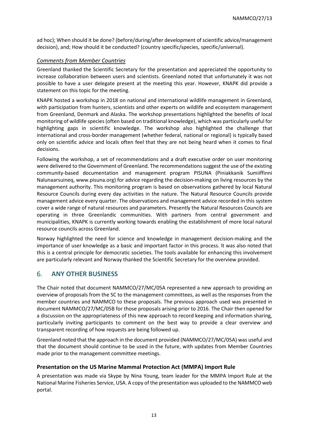ad hoc); When should it be done? (before/during/after development of scientific advice/management decision), and; How should it be conducted? (country specific/species, specific/universal).

# *Comments from Member Countries*

Greenland thanked the Scientific Secretary for the presentation and appreciated the opportunity to increase collaboration between users and scientists. Greenland noted that unfortunately it was not possible to have a user delegate present at the meeting this year. However, KNAPK did provide a statement on this topic for the meeting.

KNAPK hosted a workshop in 2018 on national and international wildlife management in Greenland, with participation from hunters, scientists and other experts on wildlife and ecosystem management from Greenland, Denmark and Alaska. The workshop presentations highlighted the benefits of local monitoring of wildlife species (often based on traditional knowledge), which was particularly useful for highlighting gaps in scientific knowledge. The workshop also highlighted the challenge that international and cross-border management (whether federal, national or regional) is typically based only on scientific advice and locals often feel that they are not being heard when it comes to final decisions.

Following the workshop, a set of recommendations and a draft executive order on user monitoring were delivered to the Government of Greenland. The recommendations suggest the use of the existing community-based documentation and management program PISUNA (Piniakkanik Sumiiffinni Nalunaarsuineq, www.pisuna.org) for advice regarding the decision-making on living resources by the management authority. This monitoring program is based on observations gathered by local Natural Resource Councils during every day activities in the nature. The Natural Resource Councils provide management advice every quarter. The observations and management advice recorded in this system cover a wide range of natural resources and parameters. Presently the Natural Resources Councils are operating in three Greenlandic communities. With partners from central government and municipalities, KNAPK is currently working towards enabling the establishment of more local natural resource councils across Greenland.

Norway highlighted the need for science and knowledge in management decision-making and the importance of user knowledge as a basic and important factor in this process. It was also noted that this is a central principle for democratic societies. The tools available for enhancing this involvement are particularly relevant and Norway thanked the Scientific Secretary for the overview provided.

# <span id="page-12-0"></span>6. **ANY OTHER BUSINESS**

The Chair noted that document NAMMCO/27/MC/05A represented a new approach to providing an overview of proposals from the SC to the management committees, as well as the responses from the member countries and NAMMCO to these proposals. The previous approach used was presented in document NAMMCO/27/MC/05B for those proposals arising prior to 2016. The Chair then opened for a discussion on the appropriateness of this new approach to record keeping and information sharing, particularly inviting participants to comment on the best way to provide a clear overview and transparent recording of how requests are being followed up.

Greenland noted that the approach in the document provided (NAMMCO/27/MC/05A) was useful and that the document should continue to be used in the future, with updates from Member Countries made prior to the management committee meetings.

## **Presentation on the US Marine Mammal Protection Act (MMPA) Import Rule**

A presentation was made via Skype by Nina Young, team leader for the MMPA Import Rule at the National Marine Fisheries Service, USA. A copy of the presentation was uploaded to the NAMMCO web portal.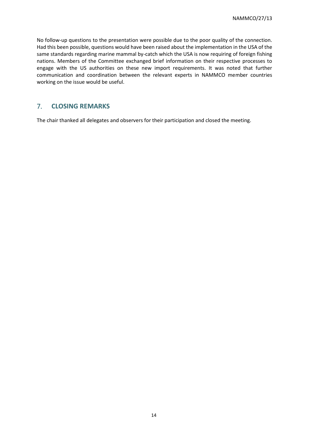No follow-up questions to the presentation were possible due to the poor quality of the connection. Had this been possible, questions would have been raised about the implementation in the USA of the same standards regarding marine mammal by-catch which the USA is now requiring of foreign fishing nations. Members of the Committee exchanged brief information on their respective processes to engage with the US authorities on these new import requirements. It was noted that further communication and coordination between the relevant experts in NAMMCO member countries working on the issue would be useful.

# <span id="page-13-0"></span>7. **CLOSING REMARKS**

The chair thanked all delegates and observers for their participation and closed the meeting.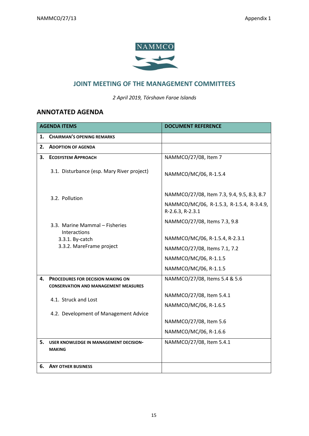

# **JOINT MEETING OF THE MANAGEMENT COMMITTEES**

*2 April 2019, Tórshavn Faroe Islands*

# <span id="page-14-0"></span>**ANNOTATED AGENDA**

| <b>AGENDA ITEMS</b> |                                                                     | <b>DOCUMENT REFERENCE</b>                                    |
|---------------------|---------------------------------------------------------------------|--------------------------------------------------------------|
|                     | 1. CHAIRMAN'S OPENING REMARKS                                       |                                                              |
| 2.                  | <b>ADOPTION OF AGENDA</b>                                           |                                                              |
| 3.                  | <b>ECOSYSTEM APPROACH</b>                                           | NAMMCO/27/08, Item 7                                         |
|                     | 3.1. Disturbance (esp. Mary River project)                          | NAMMCO/MC/06, R-1.5.4                                        |
|                     | 3.2. Pollution                                                      | NAMMCO/27/08, Item 7.3, 9.4, 9.5, 8.3, 8.7                   |
|                     |                                                                     | NAMMCO/MC/06, R-1.5.3, R-1.5.4, R-3.4.9,<br>R-2.6.3, R-2.3.1 |
|                     | 3.3. Marine Mammal - Fisheries                                      | NAMMCO/27/08, Items 7.3, 9.8                                 |
|                     | Interactions<br>3.3.1. By-catch                                     | NAMMCO/MC/06, R-1.5.4, R-2.3.1                               |
|                     | 3.3.2. MareFrame project                                            | NAMMCO/27/08, Items 7.1, 7.2                                 |
|                     |                                                                     | NAMMCO/MC/06, R-1.1.5                                        |
|                     |                                                                     | NAMMCO/MC/06, R-1.1.5                                        |
| 4.                  | <b>PROCEDURES FOR DECISION MAKING ON</b>                            | NAMMCO/27/08, Items 5.4 & 5.6                                |
|                     | <b>CONSERVATION AND MANAGEMENT MEASURES</b><br>4.1. Struck and Lost | NAMMCO/27/08, Item 5.4.1<br>NAMMCO/MC/06, R-1.6.5            |
|                     | 4.2. Development of Management Advice                               |                                                              |
|                     |                                                                     | NAMMCO/27/08, Item 5.6                                       |
|                     |                                                                     | NAMMCO/MC/06, R-1.6.6                                        |
| 5.                  | USER KNOWLEDGE IN MANAGEMENT DECISION-<br><b>MAKING</b>             | NAMMCO/27/08, Item 5.4.1                                     |
| 6.                  | <b>ANY OTHER BUSINESS</b>                                           |                                                              |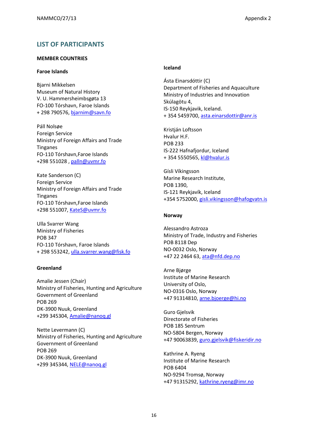# <span id="page-15-0"></span>**LIST OF PARTICIPANTS**

#### **MEMBER COUNTRIES**

#### **Faroe Islands**

Bjarni Mikkelsen Museum of Natural History V. U. Hammersheimbsgøta 13 FO-100 Tórshavn, Faroe Islands + 298 790576, [bjarnim@savn.fo](mailto:bjarnim@savn.fo)

Páll Nolsøe Foreign Service Ministry of Foreign Affairs and Trade Tinganes FO-110 Tórshavn,Faroe Islands +298 551028 , [palln@uvmr.fo](mailto:palln@uvmr.fo)

Kate Sanderson (C) Foreign Service Ministry of Foreign Affairs and Trade Tinganes FO-110 Tórshavn,Faroe Islands +298 551007, [KateS@uvmr.fo](mailto:KateS@uvmr.fo)

Ulla Svarrer Wang Ministry of Fisheries POB 347 FO-110 Tórshavn, Faroe Islands + 298 553242, [ulla.svarrer.wang@fisk.fo](mailto:ulla.svarrer.wang@fisk.fo)

#### **Greenland**

Amalie Jessen (Chair) Ministry of Fisheries, Hunting and Agriculture Government of Greenland POB 269 DK-3900 Nuuk, Greenland +299 345304, [Amalie@nanoq.gl](mailto:Amalie@nanoq.gl)

Nette Levermann (C) Ministry of Fisheries, Hunting and Agriculture Government of Greenland POB 269 DK-3900 Nuuk, Greenland +299 345344, [NELE@nanoq.gl](mailto:NELE@nanoq.gl)

#### **Iceland**

Ásta Einarsdóttir (C) Department of Fisheries and Aquaculture Ministry of Industries and Innovation Skúlagötu 4, IS-150 Reykjavik, Iceland. + 354 5459700, [asta.einarsdottir@anr.is](mailto:asta.einarsdottir@anr.is)

Kristján Loftsson Hvalur H.F. POB 233 IS-222 Hafnafjordur, Iceland + 354 5550565, [kl@hvalur.is](mailto:kl@hvalur.is)

Gísli Víkingsson Marine Research Institute, POB 1390, IS-121 Reykjavík, Iceland +354 5752000, [gisli.vikingsson@hafogvatn.is](mailto:gisli.vikingsson@hafogvatn.is)

#### **Norway**

Alessandro Astroza Ministry of Trade, Industry and Fisheries POB 8118 Dep NO-0032 Oslo, Norway +47 22 2464 63, [ata@nfd.dep.no](mailto:ata@nfd.dep.no)

Arne Bjørge Institute of Marine Research University of Oslo, NO-0316 Oslo, Norway +47 91314810, [arne.bjoerge@hi.no](mailto:arne.bjoerge@hi.no)

Guro Gjelsvik Directorate of Fisheries POB 185 Sentrum NO-5804 Bergen, Norway +47 90063839, [guro.gjelsvik@fiskeridir.no](mailto:guro.gjelsvik@fiskeridir.no)

Kathrine A. Ryeng Institute of Marine Research POB 6404 NO-9294 Tromsø, Norway +47 91315292, [kathrine.ryeng@imr.no](mailto:kathrine.ryeng@imr.no)